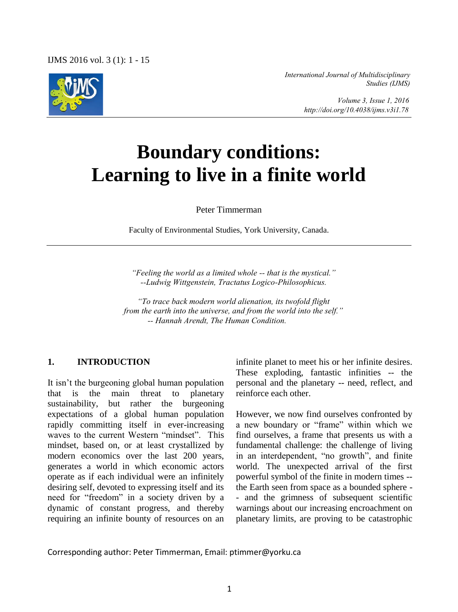

*International Journal of Multidisciplinary Studies (IJMS)* 

> *Volume 3, Issue 1, 2016 http://doi.org/10.4038/ijms.v3i1.78*

# **Boundary conditions: Learning to live in a finite world**

Peter Timmerman

Faculty of Environmental Studies, York University, Canada.

*"Feeling the world as a limited whole -- that is the mystical." --Ludwig Wittgenstein, Tractatus Logico-Philosophicus.* 

*"To trace back modern world alienation, its twofold flight from the earth into the universe, and from the world into the self." -- Hannah Arendt, The Human Condition.* 

## **1. INTRODUCTION**

It isn't the burgeoning global human population that is the main threat to planetary sustainability, but rather the burgeoning expectations of a global human population rapidly committing itself in ever-increasing waves to the current Western "mindset". This mindset, based on, or at least crystallized by modern economics over the last 200 years, generates a world in which economic actors operate as if each individual were an infinitely desiring self, devoted to expressing itself and its need for "freedom" in a society driven by a dynamic of constant progress, and thereby requiring an infinite bounty of resources on an

infinite planet to meet his or her infinite desires. These exploding, fantastic infinities -- the personal and the planetary -- need, reflect, and reinforce each other.

However, we now find ourselves confronted by a new boundary or "frame" within which we find ourselves, a frame that presents us with a fundamental challenge: the challenge of living in an interdependent, "no growth", and finite world. The unexpected arrival of the first powerful symbol of the finite in modern times - the Earth seen from space as a bounded sphere - - and the grimness of subsequent scientific warnings about our increasing encroachment on planetary limits, are proving to be catastrophic

Corresponding author: Peter Timmerman, Email: ptimmer@yorku.ca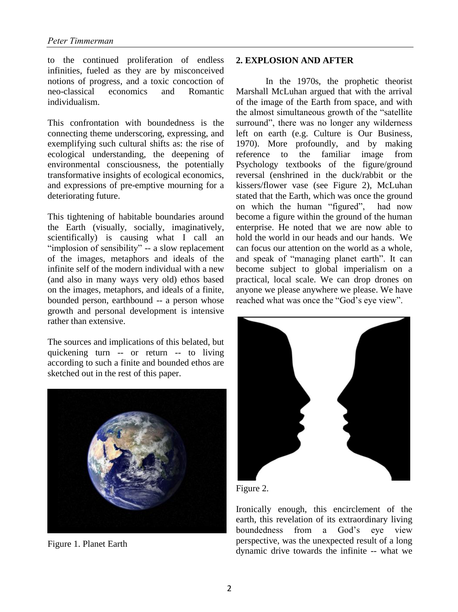to the continued proliferation of endless infinities, fueled as they are by misconceived notions of progress, and a toxic concoction of neo-classical economics and Romantic individualism.

This confrontation with boundedness is the connecting theme underscoring, expressing, and exemplifying such cultural shifts as: the rise of ecological understanding, the deepening of environmental consciousness, the potentially transformative insights of ecological economics, and expressions of pre-emptive mourning for a deteriorating future.

This tightening of habitable boundaries around the Earth (visually, socially, imaginatively, scientifically) is causing what I call an "implosion of sensibility" -- a slow replacement of the images, metaphors and ideals of the infinite self of the modern individual with a new (and also in many ways very old) ethos based on the images, metaphors, and ideals of a finite, bounded person, earthbound -- a person whose growth and personal development is intensive rather than extensive.

The sources and implications of this belated, but quickening turn -- or return -- to living according to such a finite and bounded ethos are sketched out in the rest of this paper.



Figure 1. Planet Earth

#### **2. EXPLOSION AND AFTER**

 In the 1970s, the prophetic theorist Marshall McLuhan argued that with the arrival of the image of the Earth from space, and with the almost simultaneous growth of the "satellite surround", there was no longer any wilderness left on earth (e.g. Culture is Our Business, 1970). More profoundly, and by making reference to the familiar image from Psychology textbooks of the figure/ground reversal (enshrined in the duck/rabbit or the kissers/flower vase (see Figure 2), McLuhan stated that the Earth, which was once the ground on which the human "figured", had now become a figure within the ground of the human enterprise. He noted that we are now able to hold the world in our heads and our hands. We can focus our attention on the world as a whole, and speak of "managing planet earth". It can become subject to global imperialism on a practical, local scale. We can drop drones on anyone we please anywhere we please. We have reached what was once the "God's eye view".



Figure 2.

Ironically enough, this encirclement of the earth, this revelation of its extraordinary living boundedness from a God's eye view perspective, was the unexpected result of a long dynamic drive towards the infinite -- what we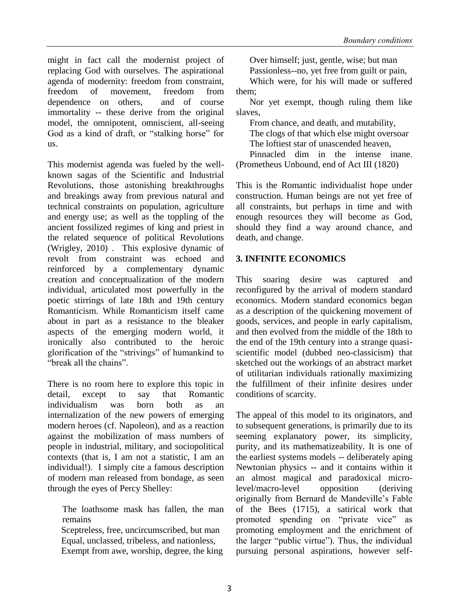might in fact call the modernist project of replacing God with ourselves. The aspirational agenda of modernity: freedom from constraint, freedom of movement, freedom from dependence on others, and of course immortality -- these derive from the original model, the omnipotent, omniscient, all-seeing God as a kind of draft, or "stalking horse" for us.

This modernist agenda was fueled by the wellknown sagas of the Scientific and Industrial Revolutions, those astonishing breakthroughs and breakings away from previous natural and technical constraints on population, agriculture and energy use; as well as the toppling of the ancient fossilized regimes of king and priest in the related sequence of political Revolutions (Wrigley, 2010) . This explosive dynamic of revolt from constraint was echoed and reinforced by a complementary dynamic creation and conceptualization of the modern individual, articulated most powerfully in the poetic stirrings of late 18th and 19th century Romanticism. While Romanticism itself came about in part as a resistance to the bleaker aspects of the emerging modern world, it ironically also contributed to the heroic glorification of the "strivings" of humankind to "break all the chains".

There is no room here to explore this topic in detail, except to say that Romantic individualism was born both as an internalization of the new powers of emerging modern heroes (cf. Napoleon), and as a reaction against the mobilization of mass numbers of people in industrial, military, and sociopolitical contexts (that is, I am not a statistic, I am an individual!). I simply cite a famous description of modern man released from bondage, as seen through the eyes of Percy Shelley:

The loathsome mask has fallen, the man remains

 Sceptreless, free, uncircumscribed, but man Equal, unclassed, tribeless, and nationless,

Exempt from awe, worship, degree, the king

Over himself; just, gentle, wise; but man

Passionless--no, yet free from guilt or pain,

 Which were, for his will made or suffered them;

 Nor yet exempt, though ruling them like slaves,

From chance, and death, and mutability,

 The clogs of that which else might oversoar The loftiest star of unascended heaven,

 Pinnacled dim in the intense inane. (Prometheus Unbound, end of Act III (1820)

This is the Romantic individualist hope under construction. Human beings are not yet free of all constraints, but perhaps in time and with enough resources they will become as God, should they find a way around chance, and death, and change.

# **3. INFINITE ECONOMICS**

This soaring desire was captured and reconfigured by the arrival of modern standard economics. Modern standard economics began as a description of the quickening movement of goods, services, and people in early capitalism, and then evolved from the middle of the 18th to the end of the 19th century into a strange quasiscientific model (dubbed neo-classicism) that sketched out the workings of an abstract market of utilitarian individuals rationally maximizing the fulfillment of their infinite desires under conditions of scarcity.

The appeal of this model to its originators, and to subsequent generations, is primarily due to its seeming explanatory power, its simplicity, purity, and its mathematizeability. It is one of the earliest systems models -- deliberately aping Newtonian physics -- and it contains within it an almost magical and paradoxical microlevel/macro-level opposition (deriving originally from Bernard de Mandeville's Fable of the Bees (1715), a satirical work that promoted spending on "private vice" as promoting employment and the enrichment of the larger "public virtue"). Thus, the individual pursuing personal aspirations, however self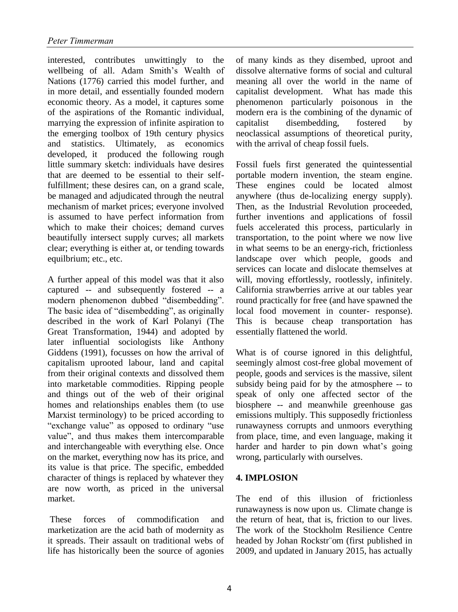interested, contributes unwittingly to the wellbeing of all. Adam Smith's Wealth of Nations (1776) carried this model further, and in more detail, and essentially founded modern economic theory. As a model, it captures some of the aspirations of the Romantic individual, marrying the expression of infinite aspiration to the emerging toolbox of 19th century physics and statistics. Ultimately, as economics developed, it produced the following rough little summary sketch: individuals have desires that are deemed to be essential to their selffulfillment; these desires can, on a grand scale, be managed and adjudicated through the neutral mechanism of market prices; everyone involved is assumed to have perfect information from which to make their choices; demand curves beautifully intersect supply curves; all markets clear; everything is either at, or tending towards equilbrium; etc., etc.

A further appeal of this model was that it also captured -- and subsequently fostered -- a modern phenomenon dubbed "disembedding". The basic idea of "disembedding", as originally described in the work of Karl Polanyi (The Great Transformation, 1944) and adopted by later influential sociologists like Anthony Giddens (1991), focusses on how the arrival of capitalism uprooted labour, land and capital from their original contexts and dissolved them into marketable commodities. Ripping people and things out of the web of their original homes and relationships enables them (to use Marxist terminology) to be priced according to "exchange value" as opposed to ordinary "use value", and thus makes them intercomparable and interchangeable with everything else. Once on the market, everything now has its price, and its value is that price. The specific, embedded character of things is replaced by whatever they are now worth, as priced in the universal market.

 These forces of commodification and marketization are the acid bath of modernity as it spreads. Their assault on traditional webs of life has historically been the source of agonies of many kinds as they disembed, uproot and dissolve alternative forms of social and cultural meaning all over the world in the name of capitalist development. What has made this phenomenon particularly poisonous in the modern era is the combining of the dynamic of capitalist disembedding, fostered by neoclassical assumptions of theoretical purity, with the arrival of cheap fossil fuels.

Fossil fuels first generated the quintessential portable modern invention, the steam engine. These engines could be located almost anywhere (thus de-localizing energy supply). Then, as the Industrial Revolution proceeded, further inventions and applications of fossil fuels accelerated this process, particularly in transportation, to the point where we now live in what seems to be an energy-rich, frictionless landscape over which people, goods and services can locate and dislocate themselves at will, moving effortlessly, rootlessly, infinitely. California strawberries arrive at our tables year round practically for free (and have spawned the local food movement in counter- response). This is because cheap transportation has essentially flattened the world.

What is of course ignored in this delightful, seemingly almost cost-free global movement of people, goods and services is the massive, silent subsidy being paid for by the atmosphere -- to speak of only one affected sector of the biosphere -- and meanwhile greenhouse gas emissions multiply. This supposedly frictionless runawayness corrupts and unmoors everything from place, time, and even language, making it harder and harder to pin down what's going wrong, particularly with ourselves.

## **4. IMPLOSION**

The end of this illusion of frictionless runawayness is now upon us. Climate change is the return of heat, that is, friction to our lives. The work of the Stockholm Resilience Centre headed by Johan Rockstr¨om (first published in 2009, and updated in January 2015, has actually